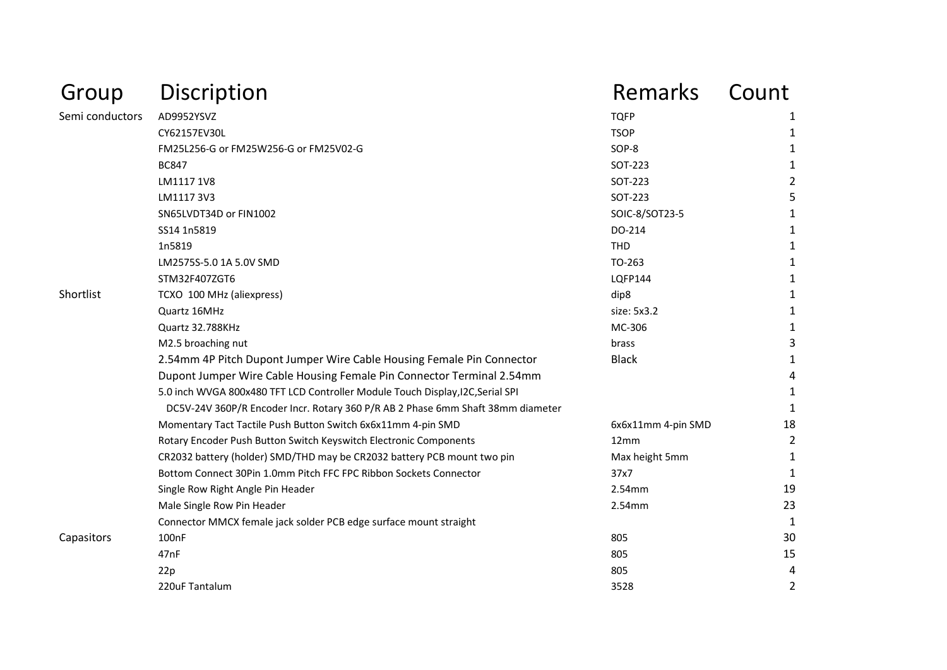| Group           | Discription                                                                                                                                                       | <b>Remarks</b>     | Count          |
|-----------------|-------------------------------------------------------------------------------------------------------------------------------------------------------------------|--------------------|----------------|
| Semi conductors | AD9952YSVZ                                                                                                                                                        | <b>TQFP</b>        | 1              |
|                 | CY62157EV30L                                                                                                                                                      | <b>TSOP</b>        | 1              |
|                 | FM25L256-G or FM25W256-G or FM25V02-G                                                                                                                             | SOP-8              | 1              |
|                 | <b>BC847</b>                                                                                                                                                      | SOT-223            | 1              |
|                 | LM1117 1V8                                                                                                                                                        | SOT-223            | $\overline{2}$ |
|                 | LM1117 3V3                                                                                                                                                        | SOT-223            | 5              |
|                 | SN65LVDT34D or FIN1002                                                                                                                                            | SOIC-8/SOT23-5     | 1              |
|                 | SS14 1n5819                                                                                                                                                       | DO-214             | 1              |
|                 | 1n5819                                                                                                                                                            | <b>THD</b>         | 1              |
|                 | LM2575S-5.0 1A 5.0V SMD                                                                                                                                           | TO-263             | 1              |
|                 | STM32F407ZGT6                                                                                                                                                     | LQFP144            | 1              |
| Shortlist       | TCXO 100 MHz (aliexpress)                                                                                                                                         | dip8               | 1              |
|                 | Quartz 16MHz                                                                                                                                                      | size: 5x3.2        | 1              |
|                 | Quartz 32.788KHz                                                                                                                                                  | MC-306             | 1              |
|                 | M2.5 broaching nut                                                                                                                                                | brass              | 3              |
|                 | 2.54mm 4P Pitch Dupont Jumper Wire Cable Housing Female Pin Connector                                                                                             | <b>Black</b>       | 1              |
|                 | Dupont Jumper Wire Cable Housing Female Pin Connector Terminal 2.54mm                                                                                             |                    | 4              |
|                 | 5.0 inch WVGA 800x480 TFT LCD Controller Module Touch Display, I2C, Serial SPI<br>DC5V-24V 360P/R Encoder Incr. Rotary 360 P/R AB 2 Phase 6mm Shaft 38mm diameter |                    | 1<br>1         |
|                 | Momentary Tact Tactile Push Button Switch 6x6x11mm 4-pin SMD                                                                                                      | 6x6x11mm 4-pin SMD | 18             |
|                 | Rotary Encoder Push Button Switch Keyswitch Electronic Components                                                                                                 | 12mm               | 2              |
|                 | CR2032 battery (holder) SMD/THD may be CR2032 battery PCB mount two pin                                                                                           | Max height 5mm     | 1              |
|                 | Bottom Connect 30Pin 1.0mm Pitch FFC FPC Ribbon Sockets Connector                                                                                                 | 37x7               | 1              |
|                 | Single Row Right Angle Pin Header                                                                                                                                 | 2.54mm             | 19             |
|                 | Male Single Row Pin Header                                                                                                                                        | 2.54mm             | 23             |
|                 | Connector MMCX female jack solder PCB edge surface mount straight                                                                                                 |                    | 1              |
| Capasitors      | 100 <sub>nF</sub>                                                                                                                                                 | 805                | 30             |
|                 | 47nF                                                                                                                                                              | 805                | 15             |
|                 | 22p                                                                                                                                                               | 805                | 4              |
|                 | 220uF Tantalum                                                                                                                                                    | 3528               | 2              |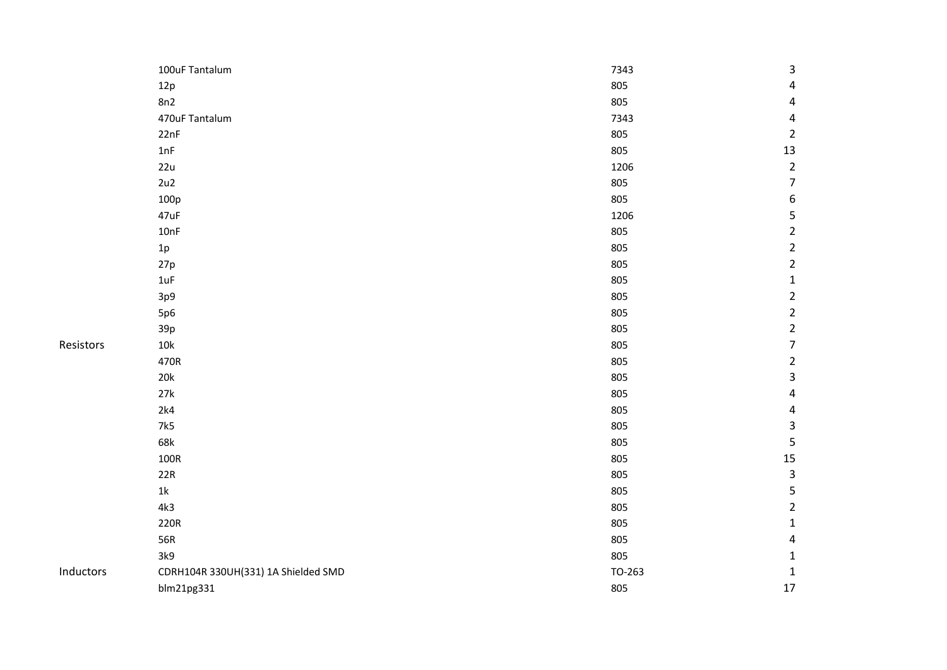|           | 100uF Tantalum                      | 7343   | 3                       |
|-----------|-------------------------------------|--------|-------------------------|
|           | 12p                                 | 805    | $\overline{\mathbf{4}}$ |
|           | 8n2                                 | 805    | $\overline{\mathbf{r}}$ |
|           | 470uF Tantalum                      | 7343   | $\pmb{4}$               |
|           | 22nF                                | 805    | $\overline{2}$          |
|           | 1nF                                 | 805    | 13                      |
|           | 22u                                 | 1206   | $\mathbf 2$             |
|           | 2u2                                 | 805    | $\overline{7}$          |
|           | 100p                                | 805    | $\boldsymbol{6}$        |
|           | 47uF                                | 1206   | 5                       |
|           | 10nF                                | 805    | $\mathbf 2$             |
|           | $1\mathrm{p}$                       | 805    | $\overline{\mathbf{c}}$ |
|           | 27p                                 | 805    | $\overline{c}$          |
|           | 1uF                                 | 805    | $\mathbf 1$             |
|           | 3p9                                 | 805    | $\overline{\mathbf{c}}$ |
|           | 5p6                                 | 805    | $\overline{c}$          |
|           | 39p                                 | 805    | $\overline{c}$          |
| Resistors | $10\mathrm{k}$                      | 805    | $\overline{7}$          |
|           | 470R                                | 805    | $\overline{\mathbf{c}}$ |
|           | $20k$                               | 805    | $\overline{\mathbf{3}}$ |
|           | 27k                                 | 805    | $\overline{\mathbf{r}}$ |
|           | 2k4                                 | 805    | $\overline{\mathbf{r}}$ |
|           | 7k5                                 | 805    | $\mathsf 3$             |
|           | 68k                                 | 805    | $\overline{\mathbf{5}}$ |
|           | $100R$                              | 805    | 15                      |
|           | 22R                                 | 805    | $\overline{\mathbf{3}}$ |
|           | $1\mathrm{k}$                       | 805    | $\overline{\mathbf{5}}$ |
|           | 4k3                                 | 805    | $\overline{\mathbf{c}}$ |
|           | 220R                                | 805    | $\mathbf 1$             |
|           | 56R                                 | 805    | $\overline{\mathbf{r}}$ |
|           | 3k9                                 | 805    | $\mathbf{1}$            |
| Inductors | CDRH104R 330UH(331) 1A Shielded SMD | TO-263 | $\mathbf{1}$            |
|           | blm21pg331                          | 805    | 17                      |